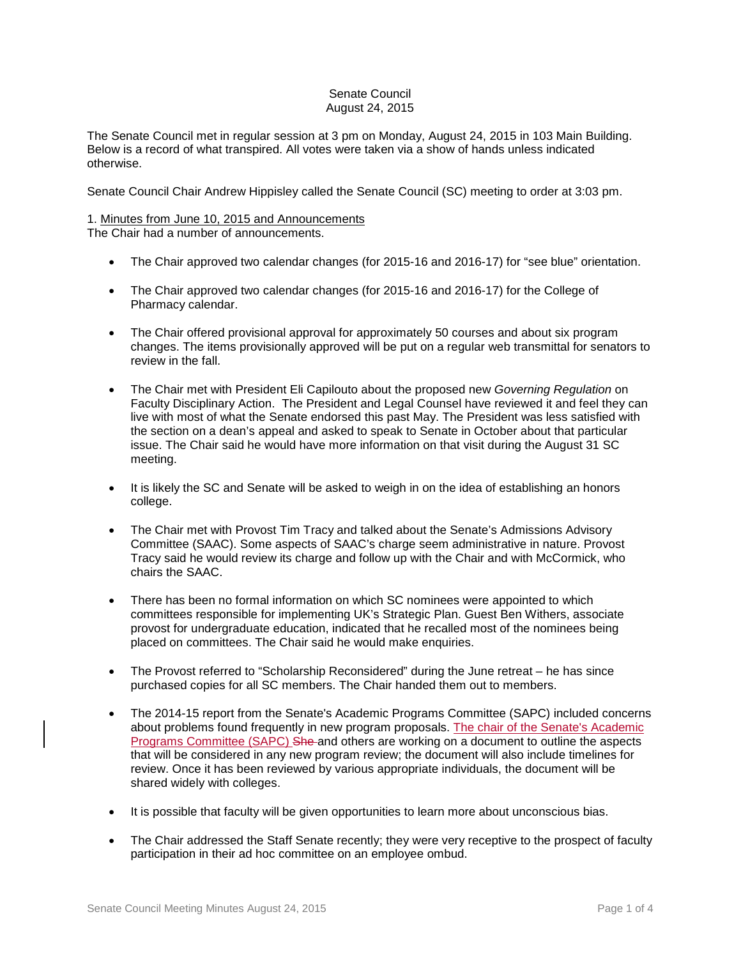# Senate Council August 24, 2015

The Senate Council met in regular session at 3 pm on Monday, August 24, 2015 in 103 Main Building. Below is a record of what transpired. All votes were taken via a show of hands unless indicated otherwise.

Senate Council Chair Andrew Hippisley called the Senate Council (SC) meeting to order at 3:03 pm.

#### 1. Minutes from June 10, 2015 and Announcements The Chair had a number of announcements.

- The Chair approved two calendar changes (for 2015-16 and 2016-17) for "see blue" orientation.
- The Chair approved two calendar changes (for 2015-16 and 2016-17) for the College of Pharmacy calendar.
- The Chair offered provisional approval for approximately 50 courses and about six program changes. The items provisionally approved will be put on a regular web transmittal for senators to review in the fall.
- The Chair met with President Eli Capilouto about the proposed new *Governing Regulation* on Faculty Disciplinary Action. The President and Legal Counsel have reviewed it and feel they can live with most of what the Senate endorsed this past May. The President was less satisfied with the section on a dean's appeal and asked to speak to Senate in October about that particular issue. The Chair said he would have more information on that visit during the August 31 SC meeting.
- It is likely the SC and Senate will be asked to weigh in on the idea of establishing an honors college.
- The Chair met with Provost Tim Tracy and talked about the Senate's Admissions Advisory Committee (SAAC). Some aspects of SAAC's charge seem administrative in nature. Provost Tracy said he would review its charge and follow up with the Chair and with McCormick, who chairs the SAAC.
- There has been no formal information on which SC nominees were appointed to which committees responsible for implementing UK's Strategic Plan. Guest Ben Withers, associate provost for undergraduate education, indicated that he recalled most of the nominees being placed on committees. The Chair said he would make enquiries.
- The Provost referred to "Scholarship Reconsidered" during the June retreat he has since purchased copies for all SC members. The Chair handed them out to members.
- The 2014-15 report from the Senate's Academic Programs Committee (SAPC) included concerns about problems found frequently in new program proposals. The chair of the Senate's Academic Programs Committee (SAPC) She and others are working on a document to outline the aspects that will be considered in any new program review; the document will also include timelines for review. Once it has been reviewed by various appropriate individuals, the document will be shared widely with colleges.
- It is possible that faculty will be given opportunities to learn more about unconscious bias.
- The Chair addressed the Staff Senate recently; they were very receptive to the prospect of faculty participation in their ad hoc committee on an employee ombud.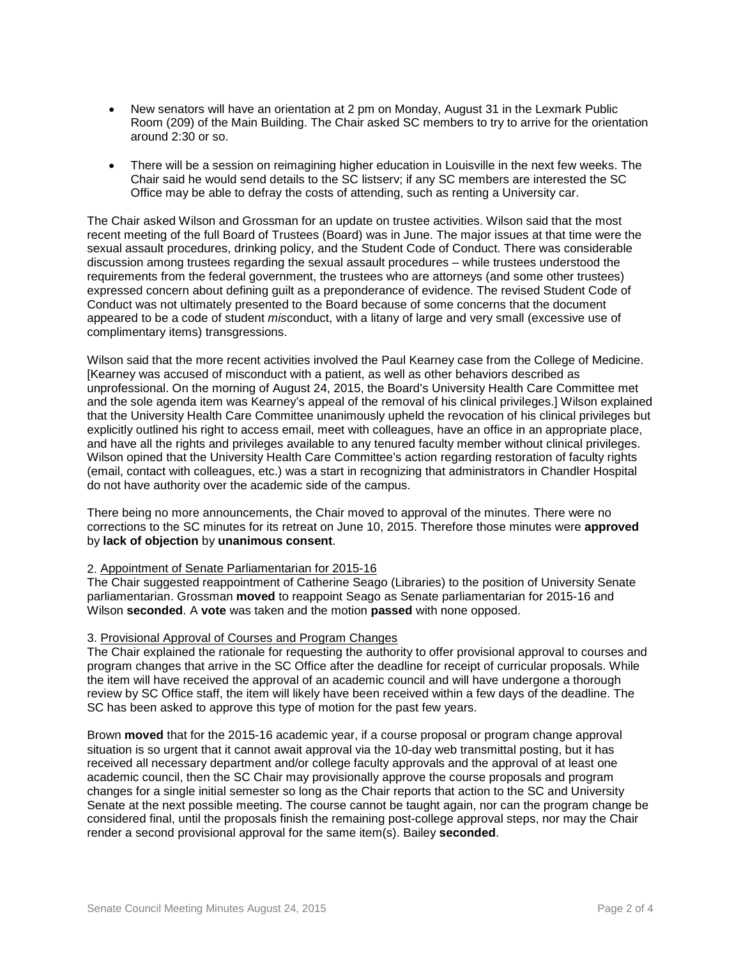- New senators will have an orientation at 2 pm on Monday, August 31 in the Lexmark Public Room (209) of the Main Building. The Chair asked SC members to try to arrive for the orientation around 2:30 or so.
- There will be a session on reimagining higher education in Louisville in the next few weeks. The Chair said he would send details to the SC listserv; if any SC members are interested the SC Office may be able to defray the costs of attending, such as renting a University car.

The Chair asked Wilson and Grossman for an update on trustee activities. Wilson said that the most recent meeting of the full Board of Trustees (Board) was in June. The major issues at that time were the sexual assault procedures, drinking policy, and the Student Code of Conduct. There was considerable discussion among trustees regarding the sexual assault procedures – while trustees understood the requirements from the federal government, the trustees who are attorneys (and some other trustees) expressed concern about defining guilt as a preponderance of evidence. The revised Student Code of Conduct was not ultimately presented to the Board because of some concerns that the document appeared to be a code of student *mis*conduct, with a litany of large and very small (excessive use of complimentary items) transgressions.

Wilson said that the more recent activities involved the Paul Kearney case from the College of Medicine. [Kearney was accused of misconduct with a patient, as well as other behaviors described as unprofessional. On the morning of August 24, 2015, the Board's University Health Care Committee met and the sole agenda item was Kearney's appeal of the removal of his clinical privileges.] Wilson explained that the University Health Care Committee unanimously upheld the revocation of his clinical privileges but explicitly outlined his right to access email, meet with colleagues, have an office in an appropriate place, and have all the rights and privileges available to any tenured faculty member without clinical privileges. Wilson opined that the University Health Care Committee's action regarding restoration of faculty rights (email, contact with colleagues, etc.) was a start in recognizing that administrators in Chandler Hospital do not have authority over the academic side of the campus.

There being no more announcements, the Chair moved to approval of the minutes. There were no corrections to the SC minutes for its retreat on June 10, 2015. Therefore those minutes were **approved** by **lack of objection** by **unanimous consent**.

## 2. Appointment of Senate Parliamentarian for 2015-16

The Chair suggested reappointment of Catherine Seago (Libraries) to the position of University Senate parliamentarian. Grossman **moved** to reappoint Seago as Senate parliamentarian for 2015-16 and Wilson **seconded**. A **vote** was taken and the motion **passed** with none opposed.

## 3. Provisional Approval of Courses and Program Changes

The Chair explained the rationale for requesting the authority to offer provisional approval to courses and program changes that arrive in the SC Office after the deadline for receipt of curricular proposals. While the item will have received the approval of an academic council and will have undergone a thorough review by SC Office staff, the item will likely have been received within a few days of the deadline. The SC has been asked to approve this type of motion for the past few years.

Brown **moved** that for the 2015-16 academic year, if a course proposal or program change approval situation is so urgent that it cannot await approval via the 10-day web transmittal posting, but it has received all necessary department and/or college faculty approvals and the approval of at least one academic council, then the SC Chair may provisionally approve the course proposals and program changes for a single initial semester so long as the Chair reports that action to the SC and University Senate at the next possible meeting. The course cannot be taught again, nor can the program change be considered final, until the proposals finish the remaining post-college approval steps, nor may the Chair render a second provisional approval for the same item(s). Bailey **seconded**.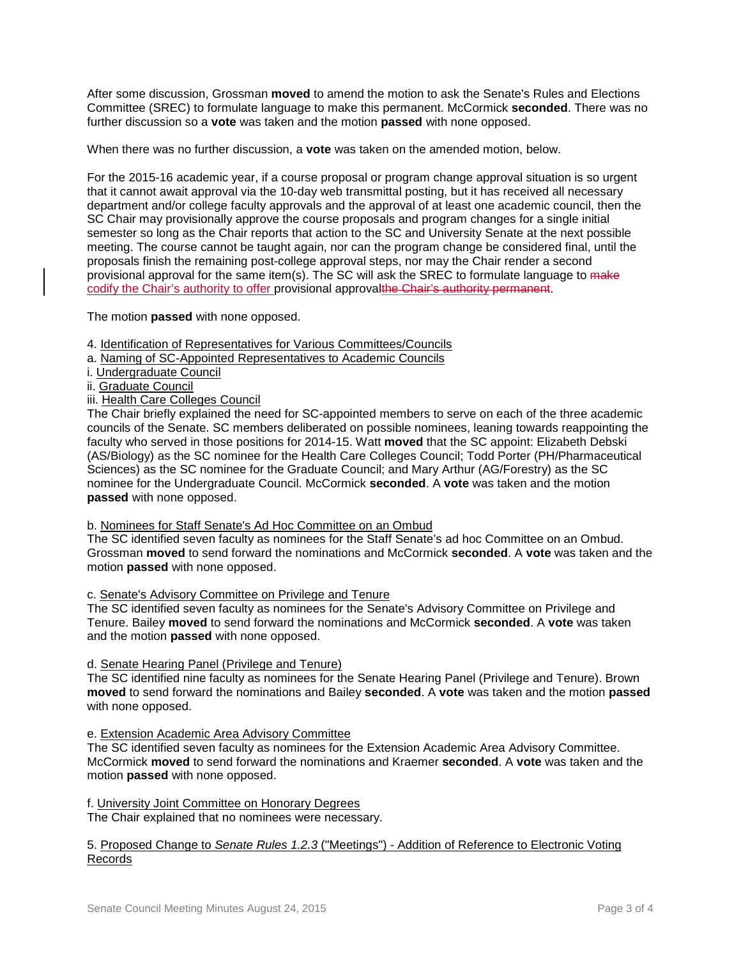After some discussion, Grossman **moved** to amend the motion to ask the Senate's Rules and Elections Committee (SREC) to formulate language to make this permanent. McCormick **seconded**. There was no further discussion so a **vote** was taken and the motion **passed** with none opposed.

When there was no further discussion, a **vote** was taken on the amended motion, below.

For the 2015-16 academic year, if a course proposal or program change approval situation is so urgent that it cannot await approval via the 10-day web transmittal posting, but it has received all necessary department and/or college faculty approvals and the approval of at least one academic council, then the SC Chair may provisionally approve the course proposals and program changes for a single initial semester so long as the Chair reports that action to the SC and University Senate at the next possible meeting. The course cannot be taught again, nor can the program change be considered final, until the proposals finish the remaining post-college approval steps, nor may the Chair render a second provisional approval for the same item(s). The SC will ask the SREC to formulate language to make codify the Chair's authority to offer provisional approvalthe Chair's authority permanent.

The motion **passed** with none opposed.

- 4. Identification of Representatives for Various Committees/Councils
- a. Naming of SC-Appointed Representatives to Academic Councils
- i. Undergraduate Council
- ii. Graduate Council
- iii. Health Care Colleges Council

The Chair briefly explained the need for SC-appointed members to serve on each of the three academic councils of the Senate. SC members deliberated on possible nominees, leaning towards reappointing the faculty who served in those positions for 2014-15. Watt **moved** that the SC appoint: Elizabeth Debski (AS/Biology) as the SC nominee for the Health Care Colleges Council; Todd Porter (PH/Pharmaceutical Sciences) as the SC nominee for the Graduate Council; and Mary Arthur (AG/Forestry) as the SC nominee for the Undergraduate Council. McCormick **seconded**. A **vote** was taken and the motion **passed** with none opposed.

### b. Nominees for Staff Senate's Ad Hoc Committee on an Ombud

The SC identified seven faculty as nominees for the Staff Senate's ad hoc Committee on an Ombud. Grossman **moved** to send forward the nominations and McCormick **seconded**. A **vote** was taken and the motion **passed** with none opposed.

### c. Senate's Advisory Committee on Privilege and Tenure

The SC identified seven faculty as nominees for the Senate's Advisory Committee on Privilege and Tenure. Bailey **moved** to send forward the nominations and McCormick **seconded**. A **vote** was taken and the motion **passed** with none opposed.

### d. Senate Hearing Panel (Privilege and Tenure)

The SC identified nine faculty as nominees for the Senate Hearing Panel (Privilege and Tenure). Brown **moved** to send forward the nominations and Bailey **seconded**. A **vote** was taken and the motion **passed**  with none opposed.

### e. Extension Academic Area Advisory Committee

The SC identified seven faculty as nominees for the Extension Academic Area Advisory Committee. McCormick **moved** to send forward the nominations and Kraemer **seconded**. A **vote** was taken and the motion **passed** with none opposed.

### f. University Joint Committee on Honorary Degrees

The Chair explained that no nominees were necessary.

# 5. Proposed Change to *Senate Rules 1.2.3* ("Meetings") - Addition of Reference to Electronic Voting Records